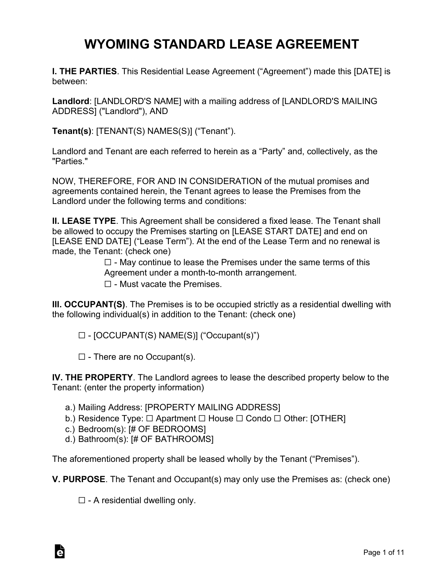# **WYOMING STANDARD LEASE AGREEMENT**

**I. THE PARTIES**. This Residential Lease Agreement ("Agreement") made this [DATE] is between:

**Landlord**: [LANDLORD'S NAME] with a mailing address of [LANDLORD'S MAILING ADDRESS] ("Landlord"), AND

**Tenant(s)**: [TENANT(S) NAMES(S)] ("Tenant").

Landlord and Tenant are each referred to herein as a "Party" and, collectively, as the "Parties."

NOW, THEREFORE, FOR AND IN CONSIDERATION of the mutual promises and agreements contained herein, the Tenant agrees to lease the Premises from the Landlord under the following terms and conditions:

**II. LEASE TYPE**. This Agreement shall be considered a fixed lease. The Tenant shall be allowed to occupy the Premises starting on [LEASE START DATE] and end on [LEASE END DATE] ("Lease Term"). At the end of the Lease Term and no renewal is made, the Tenant: (check one)

> $\Box$  - May continue to lease the Premises under the same terms of this Agreement under a month-to-month arrangement.  $\Box$  - Must vacate the Premises.

**III. OCCUPANT(S)**. The Premises is to be occupied strictly as a residential dwelling with the following individual(s) in addition to the Tenant: (check one)

☐ - [OCCUPANT(S) NAME(S)] ("Occupant(s)")

 $\Box$  - There are no Occupant(s).

**IV. THE PROPERTY**. The Landlord agrees to lease the described property below to the Tenant: (enter the property information)

- a.) Mailing Address: [PROPERTY MAILING ADDRESS]
- b.) Residence Type: □ Apartment □ House □ Condo □ Other: [OTHER]
- c.) Bedroom(s): [# OF BEDROOMS]
- d.) Bathroom(s): [# OF BATHROOMS]

The aforementioned property shall be leased wholly by the Tenant ("Premises").

**V. PURPOSE**. The Tenant and Occupant(s) may only use the Premises as: (check one)

 $\Box$  - A residential dwelling only.

à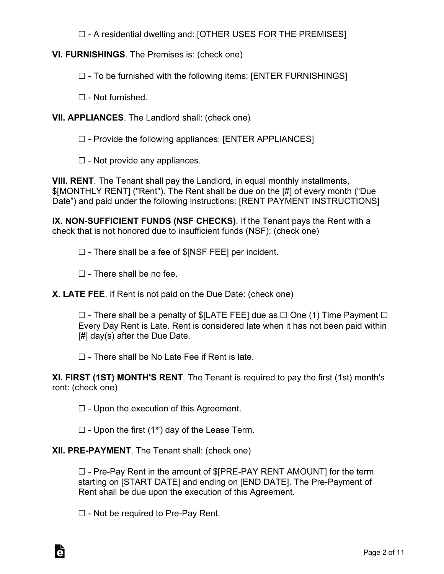☐ - A residential dwelling and: [OTHER USES FOR THE PREMISES]

# **VI. FURNISHINGS**. The Premises is: (check one)

☐ - To be furnished with the following items: [ENTER FURNISHINGS]

 $\Box$  - Not furnished.

#### **VII. APPLIANCES**. The Landlord shall: (check one)

☐ - Provide the following appliances: [ENTER APPLIANCES]

 $\Box$  - Not provide any appliances.

**VIII. RENT**. The Tenant shall pay the Landlord, in equal monthly installments, \$[MONTHLY RENT] ("Rent"). The Rent shall be due on the [#] of every month ("Due Date") and paid under the following instructions: [RENT PAYMENT INSTRUCTIONS]

**IX. NON-SUFFICIENT FUNDS (NSF CHECKS)**. If the Tenant pays the Rent with a check that is not honored due to insufficient funds (NSF): (check one)

☐ - There shall be a fee of \$[NSF FEE] per incident.

 $\Box$  - There shall be no fee.

**X. LATE FEE**. If Rent is not paid on the Due Date: (check one)

 $\Box$  - There shall be a penalty of \$[LATE FEE] due as  $\Box$  One (1) Time Payment  $\Box$ Every Day Rent is Late. Rent is considered late when it has not been paid within [#] day(s) after the Due Date.

 $\Box$  - There shall be No Late Fee if Rent is late.

**XI. FIRST (1ST) MONTH'S RENT**. The Tenant is required to pay the first (1st) month's rent: (check one)

 $\Box$  - Upon the execution of this Agreement.

 $\Box$  - Upon the first (1<sup>st</sup>) day of the Lease Term.

# **XII. PRE-PAYMENT**. The Tenant shall: (check one)

☐ - Pre-Pay Rent in the amount of \$[PRE-PAY RENT AMOUNT] for the term starting on [START DATE] and ending on [END DATE]. The Pre-Payment of Rent shall be due upon the execution of this Agreement.

 $\Box$  - Not be required to Pre-Pay Rent.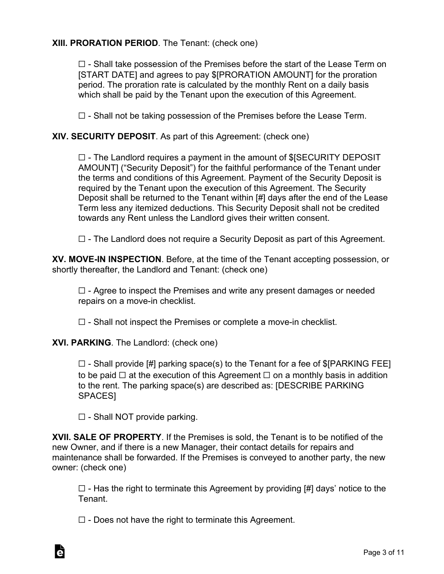# **XIII. PRORATION PERIOD**. The Tenant: (check one)

 $\Box$  - Shall take possession of the Premises before the start of the Lease Term on [START DATE] and agrees to pay \$[PRORATION AMOUNT] for the proration period. The proration rate is calculated by the monthly Rent on a daily basis which shall be paid by the Tenant upon the execution of this Agreement.

 $\Box$  - Shall not be taking possession of the Premises before the Lease Term.

#### **XIV. SECURITY DEPOSIT**. As part of this Agreement: (check one)

 $\Box$  - The Landlord requires a payment in the amount of \$[SECURITY DEPOSIT AMOUNT] ("Security Deposit") for the faithful performance of the Tenant under the terms and conditions of this Agreement. Payment of the Security Deposit is required by the Tenant upon the execution of this Agreement. The Security Deposit shall be returned to the Tenant within [#] days after the end of the Lease Term less any itemized deductions. This Security Deposit shall not be credited towards any Rent unless the Landlord gives their written consent.

 $\Box$  - The Landlord does not require a Security Deposit as part of this Agreement.

**XV. MOVE-IN INSPECTION**. Before, at the time of the Tenant accepting possession, or shortly thereafter, the Landlord and Tenant: (check one)

 $\Box$  - Agree to inspect the Premises and write any present damages or needed repairs on a move-in checklist.

 $\Box$  - Shall not inspect the Premises or complete a move-in checklist.

**XVI. PARKING**. The Landlord: (check one)

 $\Box$  - Shall provide [#] parking space(s) to the Tenant for a fee of \$[PARKING FEE] to be paid  $□$  at the execution of this Agreement  $□$  on a monthly basis in addition to the rent. The parking space(s) are described as: [DESCRIBE PARKING SPACES]

 $\Box$  - Shall NOT provide parking.

À

**XVII. SALE OF PROPERTY**. If the Premises is sold, the Tenant is to be notified of the new Owner, and if there is a new Manager, their contact details for repairs and maintenance shall be forwarded. If the Premises is conveyed to another party, the new owner: (check one)

 $\Box$  - Has the right to terminate this Agreement by providing  $H$  days' notice to the Tenant.

 $\Box$  - Does not have the right to terminate this Agreement.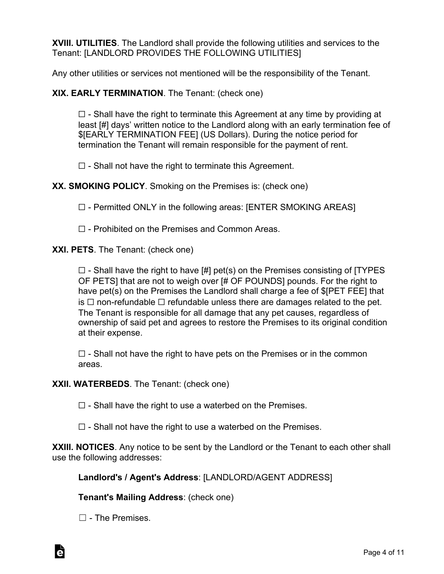**XVIII. UTILITIES**. The Landlord shall provide the following utilities and services to the Tenant: [LANDLORD PROVIDES THE FOLLOWING UTILITIES]

Any other utilities or services not mentioned will be the responsibility of the Tenant.

**XIX. EARLY TERMINATION**. The Tenant: (check one)

 $\Box$  - Shall have the right to terminate this Agreement at any time by providing at least [#] days' written notice to the Landlord along with an early termination fee of \$[EARLY TERMINATION FEE] (US Dollars). During the notice period for termination the Tenant will remain responsible for the payment of rent.

 $\Box$  - Shall not have the right to terminate this Agreement.

**XX. SMOKING POLICY**. Smoking on the Premises is: (check one)

 $\Box$  - Permitted ONLY in the following areas: [ENTER SMOKING AREAS]

☐ - Prohibited on the Premises and Common Areas.

**XXI. PETS**. The Tenant: (check one)

 $\Box$  - Shall have the right to have  $\Box$  pet(s) on the Premises consisting of [TYPES] OF PETS] that are not to weigh over [# OF POUNDS] pounds. For the right to have pet(s) on the Premises the Landlord shall charge a fee of \$[PET FEE] that is  $\Box$  non-refundable  $\Box$  refundable unless there are damages related to the pet. The Tenant is responsible for all damage that any pet causes, regardless of ownership of said pet and agrees to restore the Premises to its original condition at their expense.

 $\Box$  - Shall not have the right to have pets on the Premises or in the common areas.

**XXII. WATERBEDS**. The Tenant: (check one)

 $\Box$  - Shall have the right to use a waterbed on the Premises.

 $\Box$  - Shall not have the right to use a waterbed on the Premises.

**XXIII. NOTICES**. Any notice to be sent by the Landlord or the Tenant to each other shall use the following addresses:

**Landlord's / Agent's Address**: [LANDLORD/AGENT ADDRESS]

**Tenant's Mailing Address**: (check one)

 $\Box$  - The Premises.

À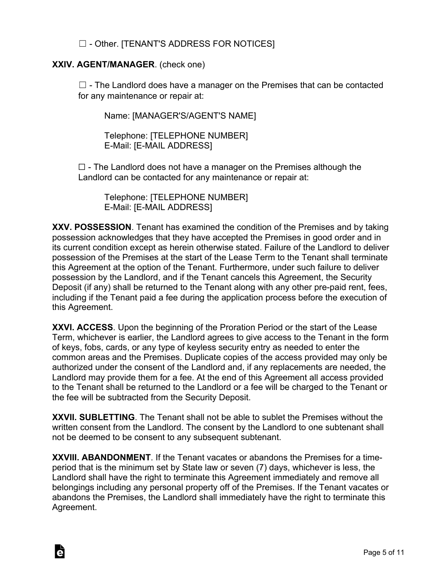# ☐ - Other. [TENANT'S ADDRESS FOR NOTICES]

#### **XXIV. AGENT/MANAGER**. (check one)

à

 $\Box$  - The Landlord does have a manager on the Premises that can be contacted for any maintenance or repair at:

Name: [MANAGER'S/AGENT'S NAME]

Telephone: [TELEPHONE NUMBER] E-Mail: [E-MAIL ADDRESS]

 $\Box$  - The Landlord does not have a manager on the Premises although the Landlord can be contacted for any maintenance or repair at:

Telephone: [TELEPHONE NUMBER] E-Mail: [E-MAIL ADDRESS]

**XXV. POSSESSION**. Tenant has examined the condition of the Premises and by taking possession acknowledges that they have accepted the Premises in good order and in its current condition except as herein otherwise stated. Failure of the Landlord to deliver possession of the Premises at the start of the Lease Term to the Tenant shall terminate this Agreement at the option of the Tenant. Furthermore, under such failure to deliver possession by the Landlord, and if the Tenant cancels this Agreement, the Security Deposit (if any) shall be returned to the Tenant along with any other pre-paid rent, fees, including if the Tenant paid a fee during the application process before the execution of this Agreement.

**XXVI. ACCESS**. Upon the beginning of the Proration Period or the start of the Lease Term, whichever is earlier, the Landlord agrees to give access to the Tenant in the form of keys, fobs, cards, or any type of keyless security entry as needed to enter the common areas and the Premises. Duplicate copies of the access provided may only be authorized under the consent of the Landlord and, if any replacements are needed, the Landlord may provide them for a fee. At the end of this Agreement all access provided to the Tenant shall be returned to the Landlord or a fee will be charged to the Tenant or the fee will be subtracted from the Security Deposit.

**XXVII. SUBLETTING**. The Tenant shall not be able to sublet the Premises without the written consent from the Landlord. The consent by the Landlord to one subtenant shall not be deemed to be consent to any subsequent subtenant.

**XXVIII. ABANDONMENT**. If the Tenant vacates or abandons the Premises for a timeperiod that is the minimum set by State law or seven (7) days, whichever is less, the Landlord shall have the right to terminate this Agreement immediately and remove all belongings including any personal property off of the Premises. If the Tenant vacates or abandons the Premises, the Landlord shall immediately have the right to terminate this Agreement.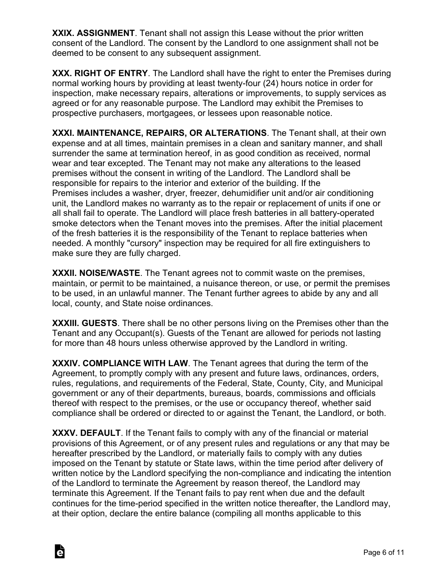**XXIX. ASSIGNMENT**. Tenant shall not assign this Lease without the prior written consent of the Landlord. The consent by the Landlord to one assignment shall not be deemed to be consent to any subsequent assignment.

**XXX. RIGHT OF ENTRY**. The Landlord shall have the right to enter the Premises during normal working hours by providing at least twenty-four (24) hours notice in order for inspection, make necessary repairs, alterations or improvements, to supply services as agreed or for any reasonable purpose. The Landlord may exhibit the Premises to prospective purchasers, mortgagees, or lessees upon reasonable notice.

**XXXI. MAINTENANCE, REPAIRS, OR ALTERATIONS**. The Tenant shall, at their own expense and at all times, maintain premises in a clean and sanitary manner, and shall surrender the same at termination hereof, in as good condition as received, normal wear and tear excepted. The Tenant may not make any alterations to the leased premises without the consent in writing of the Landlord. The Landlord shall be responsible for repairs to the interior and exterior of the building. If the Premises includes a washer, dryer, freezer, dehumidifier unit and/or air conditioning unit, the Landlord makes no warranty as to the repair or replacement of units if one or all shall fail to operate. The Landlord will place fresh batteries in all battery-operated smoke detectors when the Tenant moves into the premises. After the initial placement of the fresh batteries it is the responsibility of the Tenant to replace batteries when needed. A monthly "cursory" inspection may be required for all fire extinguishers to make sure they are fully charged.

**XXXII. NOISE/WASTE**. The Tenant agrees not to commit waste on the premises, maintain, or permit to be maintained, a nuisance thereon, or use, or permit the premises to be used, in an unlawful manner. The Tenant further agrees to abide by any and all local, county, and State noise ordinances.

**XXXIII. GUESTS**. There shall be no other persons living on the Premises other than the Tenant and any Occupant(s). Guests of the Tenant are allowed for periods not lasting for more than 48 hours unless otherwise approved by the Landlord in writing.

**XXXIV. COMPLIANCE WITH LAW**. The Tenant agrees that during the term of the Agreement, to promptly comply with any present and future laws, ordinances, orders, rules, regulations, and requirements of the Federal, State, County, City, and Municipal government or any of their departments, bureaus, boards, commissions and officials thereof with respect to the premises, or the use or occupancy thereof, whether said compliance shall be ordered or directed to or against the Tenant, the Landlord, or both.

**XXXV. DEFAULT**. If the Tenant fails to comply with any of the financial or material provisions of this Agreement, or of any present rules and regulations or any that may be hereafter prescribed by the Landlord, or materially fails to comply with any duties imposed on the Tenant by statute or State laws, within the time period after delivery of written notice by the Landlord specifying the non-compliance and indicating the intention of the Landlord to terminate the Agreement by reason thereof, the Landlord may terminate this Agreement. If the Tenant fails to pay rent when due and the default continues for the time-period specified in the written notice thereafter, the Landlord may, at their option, declare the entire balance (compiling all months applicable to this

À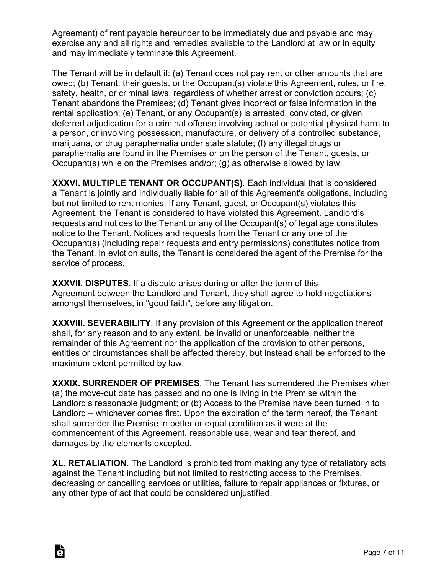Agreement) of rent payable hereunder to be immediately due and payable and may exercise any and all rights and remedies available to the Landlord at law or in equity and may immediately terminate this Agreement.

The Tenant will be in default if: (a) Tenant does not pay rent or other amounts that are owed; (b) Tenant, their guests, or the Occupant(s) violate this Agreement, rules, or fire, safety, health, or criminal laws, regardless of whether arrest or conviction occurs; (c) Tenant abandons the Premises; (d) Tenant gives incorrect or false information in the rental application; (e) Tenant, or any Occupant(s) is arrested, convicted, or given deferred adjudication for a criminal offense involving actual or potential physical harm to a person, or involving possession, manufacture, or delivery of a controlled substance, marijuana, or drug paraphernalia under state statute; (f) any illegal drugs or paraphernalia are found in the Premises or on the person of the Tenant, guests, or Occupant(s) while on the Premises and/or; (g) as otherwise allowed by law.

**XXXVI. MULTIPLE TENANT OR OCCUPANT(S)**. Each individual that is considered a Tenant is jointly and individually liable for all of this Agreement's obligations, including but not limited to rent monies. If any Tenant, guest, or Occupant(s) violates this Agreement, the Tenant is considered to have violated this Agreement. Landlord's requests and notices to the Tenant or any of the Occupant(s) of legal age constitutes notice to the Tenant. Notices and requests from the Tenant or any one of the Occupant(s) (including repair requests and entry permissions) constitutes notice from the Tenant. In eviction suits, the Tenant is considered the agent of the Premise for the service of process.

**XXXVII. DISPUTES**. If a dispute arises during or after the term of this Agreement between the Landlord and Tenant, they shall agree to hold negotiations amongst themselves, in "good faith", before any litigation.

**XXXVIII. SEVERABILITY**. If any provision of this Agreement or the application thereof shall, for any reason and to any extent, be invalid or unenforceable, neither the remainder of this Agreement nor the application of the provision to other persons, entities or circumstances shall be affected thereby, but instead shall be enforced to the maximum extent permitted by law.

**XXXIX. SURRENDER OF PREMISES**. The Tenant has surrendered the Premises when (a) the move-out date has passed and no one is living in the Premise within the Landlord's reasonable judgment; or (b) Access to the Premise have been turned in to Landlord – whichever comes first. Upon the expiration of the term hereof, the Tenant shall surrender the Premise in better or equal condition as it were at the commencement of this Agreement, reasonable use, wear and tear thereof, and damages by the elements excepted.

**XL. RETALIATION**. The Landlord is prohibited from making any type of retaliatory acts against the Tenant including but not limited to restricting access to the Premises, decreasing or cancelling services or utilities, failure to repair appliances or fixtures, or any other type of act that could be considered unjustified.

Ġ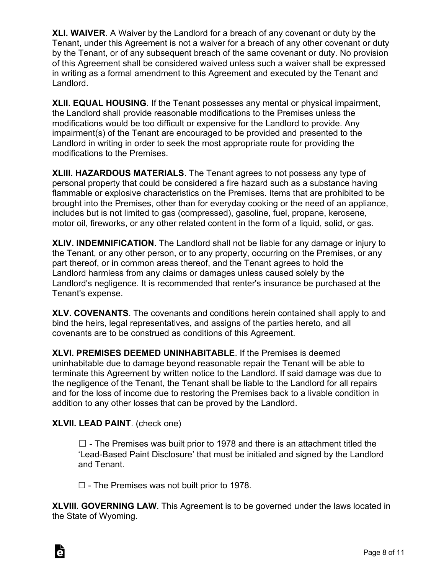**XLI. WAIVER**. A Waiver by the Landlord for a breach of any covenant or duty by the Tenant, under this Agreement is not a waiver for a breach of any other covenant or duty by the Tenant, or of any subsequent breach of the same covenant or duty. No provision of this Agreement shall be considered waived unless such a waiver shall be expressed in writing as a formal amendment to this Agreement and executed by the Tenant and Landlord.

**XLII. EQUAL HOUSING**. If the Tenant possesses any mental or physical impairment, the Landlord shall provide reasonable modifications to the Premises unless the modifications would be too difficult or expensive for the Landlord to provide. Any impairment(s) of the Tenant are encouraged to be provided and presented to the Landlord in writing in order to seek the most appropriate route for providing the modifications to the Premises.

**XLIII. HAZARDOUS MATERIALS**. The Tenant agrees to not possess any type of personal property that could be considered a fire hazard such as a substance having flammable or explosive characteristics on the Premises. Items that are prohibited to be brought into the Premises, other than for everyday cooking or the need of an appliance, includes but is not limited to gas (compressed), gasoline, fuel, propane, kerosene, motor oil, fireworks, or any other related content in the form of a liquid, solid, or gas.

**XLIV. INDEMNIFICATION**. The Landlord shall not be liable for any damage or injury to the Tenant, or any other person, or to any property, occurring on the Premises, or any part thereof, or in common areas thereof, and the Tenant agrees to hold the Landlord harmless from any claims or damages unless caused solely by the Landlord's negligence. It is recommended that renter's insurance be purchased at the Tenant's expense.

**XLV. COVENANTS**. The covenants and conditions herein contained shall apply to and bind the heirs, legal representatives, and assigns of the parties hereto, and all covenants are to be construed as conditions of this Agreement.

**XLVI. PREMISES DEEMED UNINHABITABLE**. If the Premises is deemed uninhabitable due to damage beyond reasonable repair the Tenant will be able to terminate this Agreement by written notice to the Landlord. If said damage was due to the negligence of the Tenant, the Tenant shall be liable to the Landlord for all repairs and for the loss of income due to restoring the Premises back to a livable condition in addition to any other losses that can be proved by the Landlord.

# **XLVII. LEAD PAINT**. (check one)

 $\Box$  - The Premises was built prior to 1978 and there is an attachment titled the 'Lead-Based Paint Disclosure' that must be initialed and signed by the Landlord and Tenant.

 $\Box$  - The Premises was not built prior to 1978.

**XLVIII. GOVERNING LAW**. This Agreement is to be governed under the laws located in the State of Wyoming.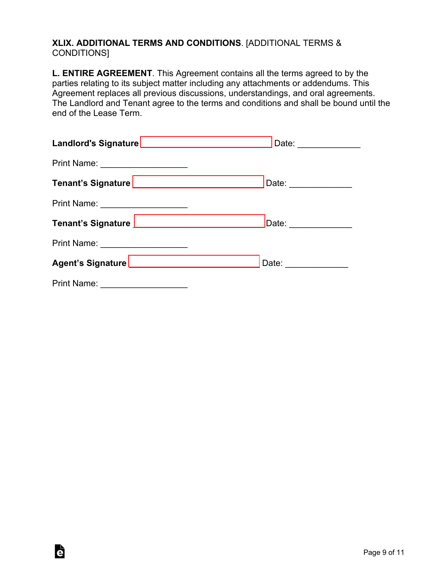#### **XLIX. ADDITIONAL TERMS AND CONDITIONS**. [ADDITIONAL TERMS & CONDITIONS]

**L. ENTIRE AGREEMENT**. This Agreement contains all the terms agreed to by the parties relating to its subject matter including any attachments or addendums. This Agreement replaces all previous discussions, understandings, and oral agreements. The Landlord and Tenant agree to the terms and conditions and shall be bound until the end of the Lease Term.

| Print Name: ____________________    |  |
|-------------------------------------|--|
|                                     |  |
| Print Name: _______________________ |  |
|                                     |  |
| Print Name: ______________________  |  |
|                                     |  |
|                                     |  |

è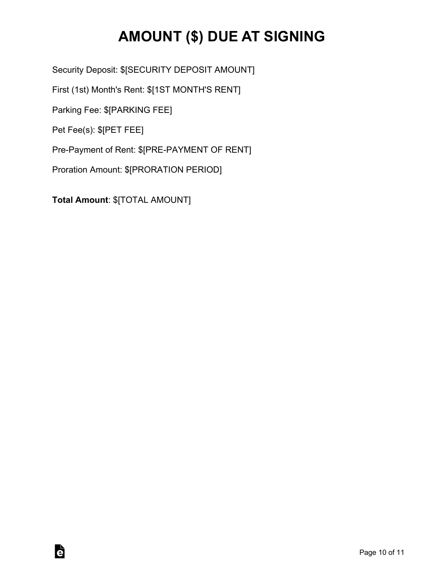# **AMOUNT (\$) DUE AT SIGNING**

Security Deposit: \$[SECURITY DEPOSIT AMOUNT]

First (1st) Month's Rent: \$[1ST MONTH'S RENT]

Parking Fee: \$[PARKING FEE]

Pet Fee(s): \$[PET FEE]

è

Pre-Payment of Rent: \$[PRE-PAYMENT OF RENT]

Proration Amount: \$[PRORATION PERIOD]

**Total Amount**: \$[TOTAL AMOUNT]